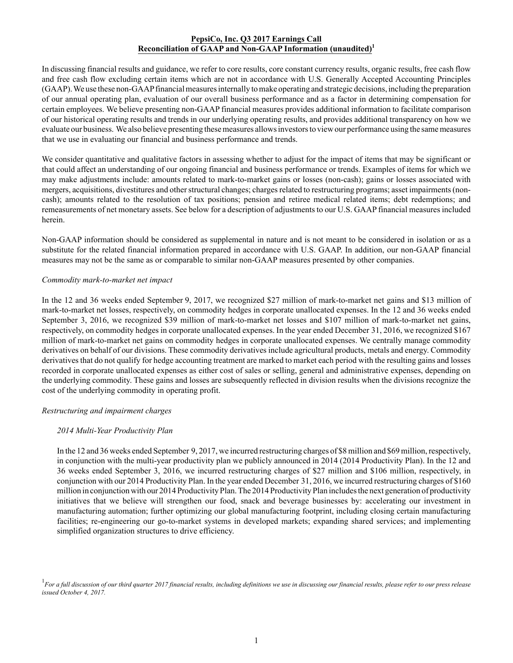## **PepsiCo, Inc. Q3 2017 Earnings Call Reconciliation of GAAP and Non-GAAP Information (unaudited)<sup>1</sup>**

In discussing financial results and guidance, we refer to core results, core constant currency results, organic results, free cash flow and free cash flow excluding certain items which are not in accordance with U.S. Generally Accepted Accounting Principles (GAAP). We use these non-GAAP financial measures internally to make operating and strategic decisions, including the preparation of our annual operating plan, evaluation of our overall business performance and as a factor in determining compensation for certain employees. We believe presenting non-GAAP financial measures provides additional information to facilitate comparison of our historical operating results and trends in our underlying operating results, and provides additional transparency on how we evaluate our business. We also believe presenting these measures allows investors to view our performance using the same measures that we use in evaluating our financial and business performance and trends.

We consider quantitative and qualitative factors in assessing whether to adjust for the impact of items that may be significant or that could affect an understanding of our ongoing financial and business performance or trends. Examples of items for which we may make adjustments include: amounts related to mark-to-market gains or losses (non-cash); gains or losses associated with mergers, acquisitions, divestitures and other structural changes; charges related to restructuring programs; asset impairments (noncash); amounts related to the resolution of tax positions; pension and retiree medical related items; debt redemptions; and remeasurements of net monetary assets. See below for a description of adjustments to our U.S. GAAP financial measures included herein.

Non-GAAP information should be considered as supplemental in nature and is not meant to be considered in isolation or as a substitute for the related financial information prepared in accordance with U.S. GAAP. In addition, our non-GAAP financial measures may not be the same as or comparable to similar non-GAAP measures presented by other companies.

## *Commodity mark-to-market net impact*

In the 12 and 36 weeks ended September 9, 2017, we recognized \$27 million of mark-to-market net gains and \$13 million of mark-to-market net losses, respectively, on commodity hedges in corporate unallocated expenses. In the 12 and 36 weeks ended September 3, 2016, we recognized \$39 million of mark-to-market net losses and \$107 million of mark-to-market net gains, respectively, on commodity hedges in corporate unallocated expenses. In the year ended December 31, 2016, we recognized \$167 million of mark-to-market net gains on commodity hedges in corporate unallocated expenses. We centrally manage commodity derivatives on behalf of our divisions. These commodity derivatives include agricultural products, metals and energy. Commodity derivatives that do not qualify for hedge accounting treatment are marked to market each period with the resulting gains and losses recorded in corporate unallocated expenses as either cost of sales or selling, general and administrative expenses, depending on the underlying commodity. These gains and losses are subsequently reflected in division results when the divisions recognize the cost of the underlying commodity in operating profit.

## *Restructuring and impairment charges*

## *2014 Multi-Year Productivity Plan*

In the 12 and 36 weeks ended September 9, 2017, we incurred restructuring charges of \$8 million and \$69 million, respectively, in conjunction with the multi-year productivity plan we publicly announced in 2014 (2014 Productivity Plan). In the 12 and 36 weeks ended September 3, 2016, we incurred restructuring charges of \$27 million and \$106 million, respectively, in conjunction with our 2014 Productivity Plan. In the year ended December 31, 2016, we incurred restructuring charges of \$160 million in conjunction with our 2014 Productivity Plan. The 2014 Productivity Plan includes the next generation of productivity initiatives that we believe will strengthen our food, snack and beverage businesses by: accelerating our investment in manufacturing automation; further optimizing our global manufacturing footprint, including closing certain manufacturing facilities; re-engineering our go-to-market systems in developed markets; expanding shared services; and implementing simplified organization structures to drive efficiency.

<sup>1</sup> For a full discussion of our third quarter 2017 financial results, including definitions we use in discussing our financial results, please refer to our press release *issued October 4, 2017.*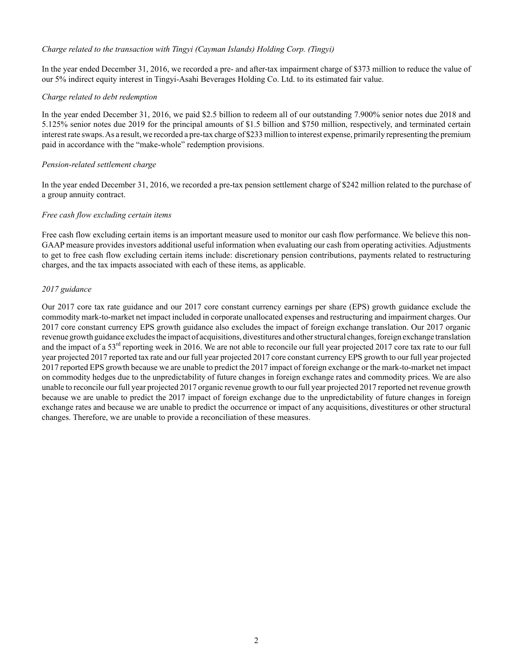## *Charge related to the transaction with Tingyi (Cayman Islands) Holding Corp. (Tingyi)*

In the year ended December 31, 2016, we recorded a pre- and after-tax impairment charge of \$373 million to reduce the value of our 5% indirect equity interest in Tingyi-Asahi Beverages Holding Co. Ltd. to its estimated fair value.

## *Charge related to debt redemption*

In the year ended December 31, 2016, we paid \$2.5 billion to redeem all of our outstanding 7.900% senior notes due 2018 and 5.125% senior notes due 2019 for the principal amounts of \$1.5 billion and \$750 million, respectively, and terminated certain interest rate swaps. As a result, we recorded a pre-tax charge of \$233 million to interest expense, primarily representing the premium paid in accordance with the "make-whole" redemption provisions.

# *Pension-related settlement charge*

In the year ended December 31, 2016, we recorded a pre-tax pension settlement charge of \$242 million related to the purchase of a group annuity contract.

# *Free cash flow excluding certain items*

Free cash flow excluding certain items is an important measure used to monitor our cash flow performance. We believe this non-GAAP measure provides investors additional useful information when evaluating our cash from operating activities. Adjustments to get to free cash flow excluding certain items include: discretionary pension contributions, payments related to restructuring charges, and the tax impacts associated with each of these items, as applicable.

# *2017 guidance*

Our 2017 core tax rate guidance and our 2017 core constant currency earnings per share (EPS) growth guidance exclude the commodity mark-to-market net impact included in corporate unallocated expenses and restructuring and impairment charges. Our 2017 core constant currency EPS growth guidance also excludes the impact of foreign exchange translation. Our 2017 organic revenue growth guidance excludes the impact of acquisitions, divestitures and other structural changes, foreign exchange translation and the impact of a  $53<sup>rd</sup>$  reporting week in 2016. We are not able to reconcile our full year projected 2017 core tax rate to our full year projected 2017 reported tax rate and our full year projected 2017 core constant currency EPS growth to our full year projected 2017 reported EPS growth because we are unable to predict the 2017 impact of foreign exchange or the mark-to-market net impact on commodity hedges due to the unpredictability of future changes in foreign exchange rates and commodity prices. We are also unable to reconcile our full year projected 2017 organic revenue growth to our full year projected 2017 reported net revenue growth because we are unable to predict the 2017 impact of foreign exchange due to the unpredictability of future changes in foreign exchange rates and because we are unable to predict the occurrence or impact of any acquisitions, divestitures or other structural changes. Therefore, we are unable to provide a reconciliation of these measures.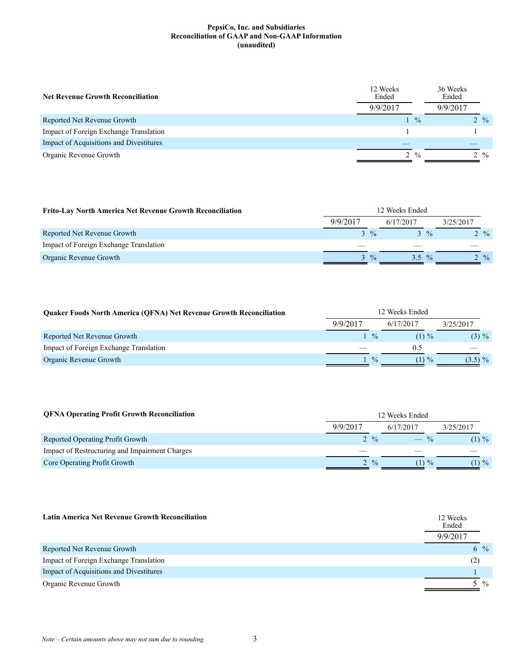| <b>Net Revenue Growth Reconciliation</b> | 12 Weeks<br>Ended |               | 36 Weeks<br>Ended |  |  |
|------------------------------------------|-------------------|---------------|-------------------|--|--|
|                                          | 9/9/2017          |               | 9/9/2017          |  |  |
| Reported Net Revenue Growth              |                   | $\frac{0}{0}$ | $2 \frac{9}{6}$   |  |  |
| Impact of Foreign Exchange Translation   |                   |               |                   |  |  |
| Impact of Acquisitions and Divestitures  |                   |               |                   |  |  |
| Organic Revenue Growth                   | 2                 | $\frac{0}{0}$ | $2 \frac{9}{6}$   |  |  |

| <b>Frito-Lay North America Net Revenue Growth Reconciliation</b> | 12 Weeks Ended |                 |           |               |           |                 |  |
|------------------------------------------------------------------|----------------|-----------------|-----------|---------------|-----------|-----------------|--|
|                                                                  | 9/9/2017       |                 | 6/17/2017 |               | 3/25/2017 |                 |  |
| Reported Net Revenue Growth                                      |                | $3 \frac{9}{6}$ |           | $\frac{0}{2}$ |           | $2 \frac{9}{6}$ |  |
| Impact of Foreign Exchange Translation                           |                |                 |           |               |           |                 |  |
| Organic Revenue Growth                                           |                | $3 \frac{9}{6}$ | 3.5       | $\frac{0}{2}$ |           | $2 \frac{9}{6}$ |  |

| <b>Ouaker Foods North America (OFNA) Net Revenue Growth Reconciliation</b> | 12 Weeks Ended |               |           |            |
|----------------------------------------------------------------------------|----------------|---------------|-----------|------------|
|                                                                            | 9/9/2017       |               | 6/17/2017 | 3/25/2017  |
| Reported Net Revenue Growth                                                |                | $\frac{0}{0}$ | $(1) \%$  | $(3) \%$   |
| Impact of Foreign Exchange Translation                                     |                |               | 0.5       |            |
| Organic Revenue Growth                                                     |                | $\frac{0}{0}$ | $(1) \%$  | $(3.5) \%$ |

| <b>QFNA Operating Profit Growth Reconciliation</b> | 12 Weeks Ended  |           |          |           |  |
|----------------------------------------------------|-----------------|-----------|----------|-----------|--|
|                                                    | 9/9/2017        | 6/17/2017 |          | 3/25/2017 |  |
| Reported Operating Profit Growth                   | $2 \frac{9}{6}$ | $-$ %     |          | $(1) \%$  |  |
| Impact of Restructuring and Impairment Charges     |                 |           |          |           |  |
| Core Operating Profit Growth                       | $2 \frac{9}{6}$ |           | $(1) \%$ | $(1) \%$  |  |

| <b>Latin America Net Revenue Growth Reconciliation</b> | 12 Weeks<br>Ended<br>9/9/2017 |
|--------------------------------------------------------|-------------------------------|
| Reported Net Revenue Growth                            | $\frac{0}{2}$<br>6            |
| Impact of Foreign Exchange Translation                 | (2)                           |
| Impact of Acquisitions and Divestitures                |                               |
| Organic Revenue Growth                                 | $\frac{0}{0}$                 |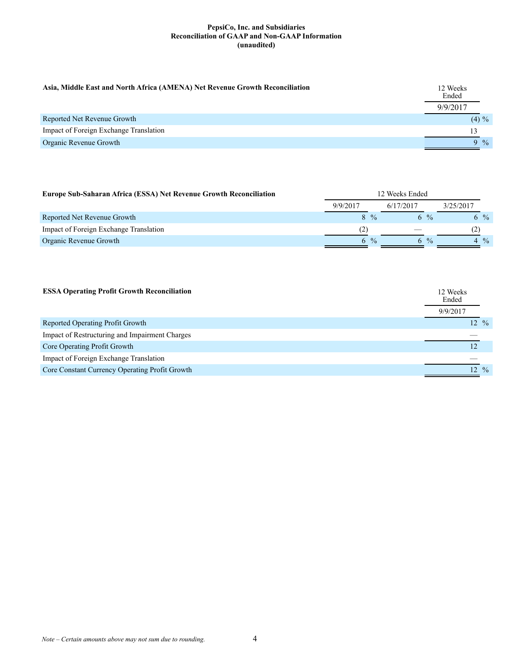| Asia, Middle East and North Africa (AMENA) Net Revenue Growth Reconciliation | 12 Weeks<br>Ended |
|------------------------------------------------------------------------------|-------------------|
|                                                                              | 9/9/2017          |
| Reported Net Revenue Growth                                                  | $(4) \%$          |
| Impact of Foreign Exchange Translation                                       | 13                |
| Organic Revenue Growth                                                       | $9\frac{6}{6}$    |

| <b>Europe Sub-Saharan Africa (ESSA) Net Revenue Growth Reconciliation</b> | 12 Weeks Ended |                |           |               |           |                |
|---------------------------------------------------------------------------|----------------|----------------|-----------|---------------|-----------|----------------|
|                                                                           | 9/9/2017       |                | 6/17/2017 |               | 3/25/2017 |                |
| Reported Net Revenue Growth                                               |                | $8\frac{6}{6}$ |           | 6 %           |           | $6\frac{9}{6}$ |
| Impact of Foreign Exchange Translation                                    |                |                |           |               | (2)       |                |
| Organic Revenue Growth                                                    | 6              | $\frac{0}{2}$  | h.        | $\frac{0}{0}$ |           | $\frac{0}{0}$  |

| <b>ESSA Operating Profit Growth Reconciliation</b> | 12 Weeks<br>Ended<br>9/9/2017 |
|----------------------------------------------------|-------------------------------|
| Reported Operating Profit Growth                   | $12 \frac{9}{6}$              |
| Impact of Restructuring and Impairment Charges     |                               |
| Core Operating Profit Growth                       |                               |
| Impact of Foreign Exchange Translation             |                               |
| Core Constant Currency Operating Profit Growth     | $12 \frac{9}{6}$              |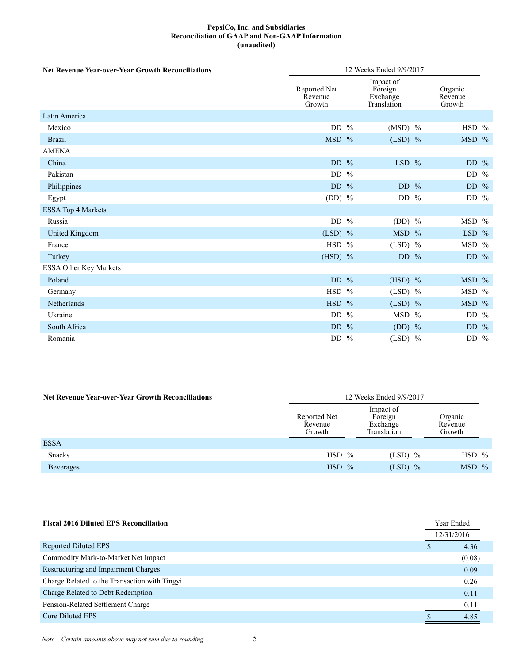| <b>Net Revenue Year-over-Year Growth Reconciliations</b> | 12 Weeks Ended 9/9/2017           |  |           |  |                                                 |  |  |  |
|----------------------------------------------------------|-----------------------------------|--|-----------|--|-------------------------------------------------|--|--|--|
|                                                          | Reported Net<br>Revenue<br>Growth |  |           |  | Impact of<br>Foreign<br>Exchange<br>Translation |  |  |  |
| Latin America                                            |                                   |  |           |  |                                                 |  |  |  |
| Mexico                                                   | DD $%$                            |  | $(MSD)$ % |  | HSD %                                           |  |  |  |
| <b>Brazil</b>                                            | $MSD$ %                           |  | $(LSD)$ % |  | $MSD$ %                                         |  |  |  |
| <b>AMENA</b>                                             |                                   |  |           |  |                                                 |  |  |  |
| China                                                    | DD $%$                            |  | LSD $%$   |  | DD $%$                                          |  |  |  |
| Pakistan                                                 | DD %                              |  |           |  | DD $%$                                          |  |  |  |
| Philippines                                              | DD $%$                            |  | $DD$ %    |  | DD $%$                                          |  |  |  |
| Egypt                                                    | (DD) $\%$                         |  | DD $%$    |  | DD $%$                                          |  |  |  |
| <b>ESSA Top 4 Markets</b>                                |                                   |  |           |  |                                                 |  |  |  |
| Russia                                                   | DD $%$                            |  | (DD) $\%$ |  | MSD %                                           |  |  |  |
| United Kingdom                                           | $(LSD)$ %                         |  | MSD %     |  | LSD $%$                                         |  |  |  |
| France                                                   | $HSD$ %                           |  | $(LSD)$ % |  | MSD %                                           |  |  |  |
| Turkey                                                   | $(HSD)$ %                         |  | DD $%$    |  | DD $%$                                          |  |  |  |
| ESSA Other Key Markets                                   |                                   |  |           |  |                                                 |  |  |  |
| Poland                                                   | DD $%$                            |  | $(HSD)$ % |  | MSD %                                           |  |  |  |
| Germany                                                  | HSD %                             |  | $(LSD)$ % |  | MSD %                                           |  |  |  |
| Netherlands                                              | $HSD$ %                           |  | $(LSD)$ % |  | MSD %                                           |  |  |  |
| Ukraine                                                  | DD $%$                            |  | MSD %     |  | DD $%$                                          |  |  |  |
| South Africa                                             | DD $%$                            |  | $(DD)$ %  |  | DD $%$                                          |  |  |  |
| Romania                                                  | DD $%$                            |  | $(LSD)$ % |  | DD $%$                                          |  |  |  |

| <b>Net Revenue Year-over-Year Growth Reconciliations</b> | 12 Weeks Ended 9/9/2017           |                                                                                 |                |  |  |
|----------------------------------------------------------|-----------------------------------|---------------------------------------------------------------------------------|----------------|--|--|
|                                                          | Reported Net<br>Revenue<br>Growth | Impact of<br>Organic<br>Foreign<br>Exchange<br>Revenue<br>Growth<br>Translation |                |  |  |
| <b>ESSA</b>                                              |                                   |                                                                                 |                |  |  |
| <b>Snacks</b>                                            | HSD -<br>$\frac{0}{0}$            | $(LSD)$ %                                                                       | $HSD$ %        |  |  |
| <b>Beverages</b>                                         | <b>HSD</b><br>$\frac{0}{0}$       | $(LSD)$ %                                                                       | $\text{MSD}$ % |  |  |

| <b>Fiscal 2016 Diluted EPS Reconciliation</b> | Year Ended |        |
|-----------------------------------------------|------------|--------|
|                                               | 12/31/2016 |        |
| Reported Diluted EPS                          | \$         | 4.36   |
| Commodity Mark-to-Market Net Impact           |            | (0.08) |
| Restructuring and Impairment Charges          |            | 0.09   |
| Charge Related to the Transaction with Tingyi |            | 0.26   |
| Charge Related to Debt Redemption             |            | 0.11   |
| Pension-Related Settlement Charge             |            | 0.11   |
| Core Diluted EPS                              |            | 4.85   |